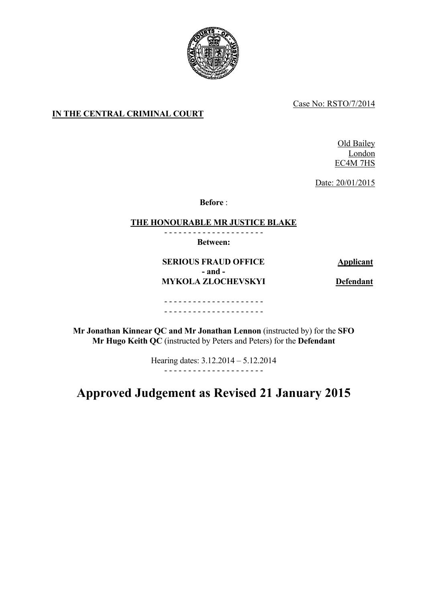

Case No: RSTO/7/2014

# **IN THE CENTRAL CRIMINAL COURT**

Old Bailey London EC4M 7HS

Date: 20/01/2015

**Before** :

# **THE HONOURABLE MR JUSTICE BLAKE**

- - - - - - - - - - - - - - - - - - - - -

**Between:**

**SERIOUS FRAUD OFFICE Applicant - and - MYKOLA ZLOCHEVSKYI Defendant** 

## - - - - - - - - - - - - - - - - - - - - - - - - - - - - - - - - - - - - - - - - - -

**Mr Jonathan Kinnear QC and Mr Jonathan Lennon** (instructed by) for the **SFO Mr Hugo Keith QC** (instructed by Peters and Peters) for the **Defendant**

> Hearing dates: 3.12.2014 – 5.12.2014 - - - - - - - - - - - - - - - - - - - - -

# **Approved Judgement as Revised 21 January 2015**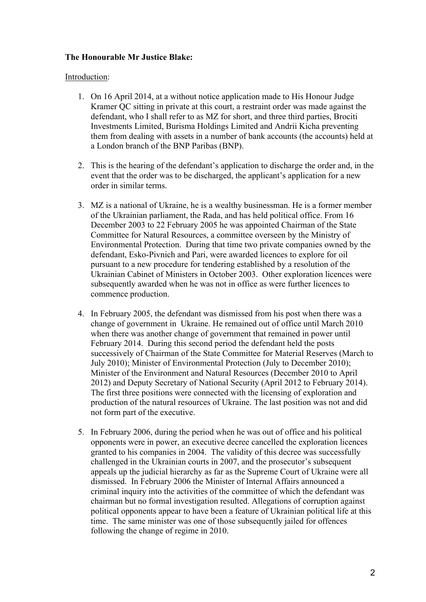# **The Honourable Mr Justice Blake:**

### Introduction:

- 1. On 16 April 2014, at a without notice application made to His Honour Judge Kramer QC sitting in private at this court, a restraint order was made against the defendant, who I shall refer to as MZ for short, and three third parties, Brociti Investments Limited, Burisma Holdings Limited and Andrii Kicha preventing them from dealing with assets in a number of bank accounts (the accounts) held at a London branch of the BNP Paribas (BNP).
- 2. This is the hearing of the defendant's application to discharge the order and, in the event that the order was to be discharged, the applicant's application for a new order in similar terms.
- 3. MZ is a national of Ukraine, he is a wealthy businessman. He is a former member of the Ukrainian parliament, the Rada, and has held political office. From 16 December 2003 to 22 February 2005 he was appointed Chairman of the State Committee for Natural Resources, a committee overseen by the Ministry of Environmental Protection. During that time two private companies owned by the defendant, Esko-Pivnich and Pari, were awarded licences to explore for oil pursuant to a new procedure for tendering established by a resolution of the Ukrainian Cabinet of Ministers in October 2003. Other exploration licences were subsequently awarded when he was not in office as were further licences to commence production.
- 4. In February 2005, the defendant was dismissed from his post when there was a change of government in Ukraine. He remained out of office until March 2010 when there was another change of government that remained in power until February 2014. During this second period the defendant held the posts successively of Chairman of the State Committee for Material Reserves (March to July 2010); Minister of Environmental Protection (July to December 2010); Minister of the Environment and Natural Resources (December 2010 to April 2012) and Deputy Secretary of National Security (April 2012 to February 2014). The first three positions were connected with the licensing of exploration and production of the natural resources of Ukraine. The last position was not and did not form part of the executive.
- 5. In February 2006, during the period when he was out of office and his political opponents were in power, an executive decree cancelled the exploration licences granted to his companies in 2004. The validity of this decree was successfully challenged in the Ukrainian courts in 2007, and the prosecutor's subsequent appeals up the judicial hierarchy as far as the Supreme Court of Ukraine were all dismissed. In February 2006 the Minister of Internal Affairs announced a criminal inquiry into the activities of the committee of which the defendant was chairman but no formal investigation resulted. Allegations of corruption against political opponents appear to have been a feature of Ukrainian political life at this time. The same minister was one of those subsequently jailed for offences following the change of regime in 2010.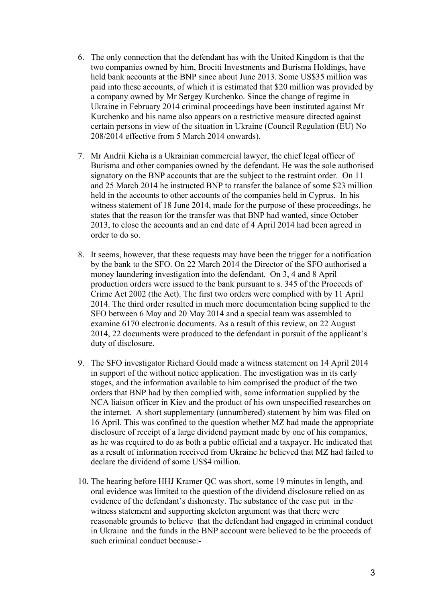- 6. The only connection that the defendant has with the United Kingdom is that the two companies owned by him, Brociti Investments and Burisma Holdings, have held bank accounts at the BNP since about June 2013. Some US\$35 million was paid into these accounts, of which it is estimated that \$20 million was provided by a company owned by Mr Sergey Kurchenko. Since the change of regime in Ukraine in February 2014 criminal proceedings have been instituted against Mr Kurchenko and his name also appears on a restrictive measure directed against certain persons in view of the situation in Ukraine (Council Regulation (EU) No 208/2014 effective from 5 March 2014 onwards).
- 7. Mr Andrii Kicha is a Ukrainian commercial lawyer, the chief legal officer of Burisma and other companies owned by the defendant. He was the sole authorised signatory on the BNP accounts that are the subject to the restraint order. On 11 and 25 March 2014 he instructed BNP to transfer the balance of some \$23 million held in the accounts to other accounts of the companies held in Cyprus. In his witness statement of 18 June 2014, made for the purpose of these proceedings, he states that the reason for the transfer was that BNP had wanted, since October 2013, to close the accounts and an end date of 4 April 2014 had been agreed in order to do so.
- 8. It seems, however, that these requests may have been the trigger for a notification by the bank to the SFO. On 22 March 2014 the Director of the SFO authorised a money laundering investigation into the defendant. On 3, 4 and 8 April production orders were issued to the bank pursuant to s. 345 of the Proceeds of Crime Act 2002 (the Act). The first two orders were complied with by 11 April 2014. The third order resulted in much more documentation being supplied to the SFO between 6 May and 20 May 2014 and a special team was assembled to examine 6170 electronic documents. As a result of this review, on 22 August 2014, 22 documents were produced to the defendant in pursuit of the applicant's duty of disclosure.
- 9. The SFO investigator Richard Gould made a witness statement on 14 April 2014 in support of the without notice application. The investigation was in its early stages, and the information available to him comprised the product of the two orders that BNP had by then complied with, some information supplied by the NCA liaison officer in Kiev and the product of his own unspecified researches on the internet. A short supplementary (unnumbered) statement by him was filed on 16 April. This was confined to the question whether MZ had made the appropriate disclosure of receipt of a large dividend payment made by one of his companies, as he was required to do as both a public official and a taxpayer. He indicated that as a result of information received from Ukraine he believed that MZ had failed to declare the dividend of some US\$4 million.
- 10. The hearing before HHJ Kramer QC was short, some 19 minutes in length, and oral evidence was limited to the question of the dividend disclosure relied on as evidence of the defendant's dishonesty. The substance of the case put in the witness statement and supporting skeleton argument was that there were reasonable grounds to believe that the defendant had engaged in criminal conduct in Ukraine and the funds in the BNP account were believed to be the proceeds of such criminal conduct because:-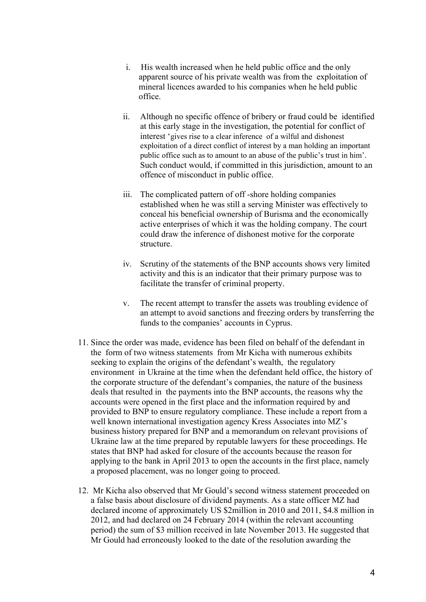- i. His wealth increased when he held public office and the only apparent source of his private wealth was from the exploitation of mineral licences awarded to his companies when he held public office.
- ii. Although no specific offence of bribery or fraud could be identified at this early stage in the investigation, the potential for conflict of interest 'gives rise to a clear inference of a wilful and dishonest exploitation of a direct conflict of interest by a man holding an important public office such as to amount to an abuse of the public's trust in him'. Such conduct would, if committed in this jurisdiction, amount to an offence of misconduct in public office.
- iii. The complicated pattern of off -shore holding companies established when he was still a serving Minister was effectively to conceal his beneficial ownership of Burisma and the economically active enterprises of which it was the holding company. The court could draw the inference of dishonest motive for the corporate structure.
- iv. Scrutiny of the statements of the BNP accounts shows very limited activity and this is an indicator that their primary purpose was to facilitate the transfer of criminal property.
- v. The recent attempt to transfer the assets was troubling evidence of an attempt to avoid sanctions and freezing orders by transferring the funds to the companies' accounts in Cyprus.
- 11. Since the order was made, evidence has been filed on behalf of the defendant in the form of two witness statements from Mr Kicha with numerous exhibits seeking to explain the origins of the defendant's wealth, the regulatory environment in Ukraine at the time when the defendant held office, the history of the corporate structure of the defendant's companies, the nature of the business deals that resulted in the payments into the BNP accounts, the reasons why the accounts were opened in the first place and the information required by and provided to BNP to ensure regulatory compliance. These include a report from a well known international investigation agency Kress Associates into MZ's business history prepared for BNP and a memorandum on relevant provisions of Ukraine law at the time prepared by reputable lawyers for these proceedings. He states that BNP had asked for closure of the accounts because the reason for applying to the bank in April 2013 to open the accounts in the first place, namely a proposed placement, was no longer going to proceed.
- 12. Mr Kicha also observed that Mr Gould's second witness statement proceeded on a false basis about disclosure of dividend payments. As a state officer MZ had declared income of approximately US \$2million in 2010 and 2011, \$4.8 million in 2012, and had declared on 24 February 2014 (within the relevant accounting period) the sum of \$3 million received in late November 2013. He suggested that Mr Gould had erroneously looked to the date of the resolution awarding the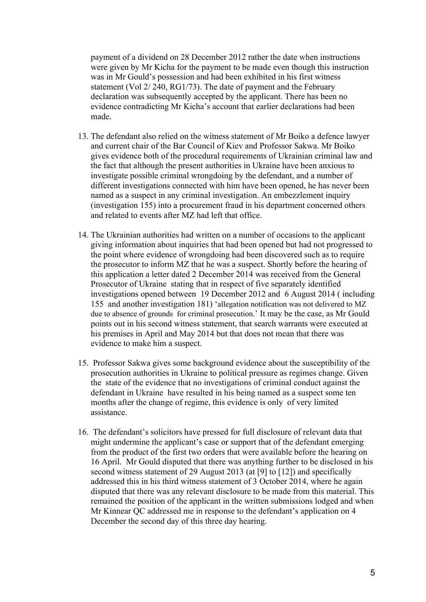payment of a dividend on 28 December 2012 rather the date when instructions were given by Mr Kicha for the payment to be made even though this instruction was in Mr Gould's possession and had been exhibited in his first witness statement (Vol 2/ 240, RG1/73). The date of payment and the February declaration was subsequently accepted by the applicant. There has been no evidence contradicting Mr Kicha's account that earlier declarations had been made.

- 13. The defendant also relied on the witness statement of Mr Boiko a defence lawyer and current chair of the Bar Council of Kiev and Professor Sakwa. Mr Boiko gives evidence both of the procedural requirements of Ukrainian criminal law and the fact that although the present authorities in Ukraine have been anxious to investigate possible criminal wrongdoing by the defendant, and a number of different investigations connected with him have been opened, he has never been named as a suspect in any criminal investigation. An embezzlement inquiry (investigation 155) into a procurement fraud in his department concerned others and related to events after MZ had left that office.
- 14. The Ukrainian authorities had written on a number of occasions to the applicant giving information about inquiries that had been opened but had not progressed to the point where evidence of wrongdoing had been discovered such as to require the prosecutor to inform MZ that he was a suspect. Shortly before the hearing of this application a letter dated 2 December 2014 was received from the General Prosecutor of Ukraine stating that in respect of five separately identified investigations opened between 19 December 2012 and 6 August 2014 ( including 155 and another investigation 181) 'allegation notification was not delivered to MZ due to absence of grounds for criminal prosecution.' It may be the case, as Mr Gould points out in his second witness statement, that search warrants were executed at his premises in April and May 2014 but that does not mean that there was evidence to make him a suspect.
- 15. Professor Sakwa gives some background evidence about the susceptibility of the prosecution authorities in Ukraine to political pressure as regimes change. Given the state of the evidence that no investigations of criminal conduct against the defendant in Ukraine have resulted in his being named as a suspect some ten months after the change of regime, this evidence is only of very limited assistance.
- 16. The defendant's solicitors have pressed for full disclosure of relevant data that might undermine the applicant's case or support that of the defendant emerging from the product of the first two orders that were available before the hearing on 16 April. Mr Gould disputed that there was anything further to be disclosed in his second witness statement of 29 August 2013 (at [9] to [12]) and specifically addressed this in his third witness statement of 3 October 2014, where he again disputed that there was any relevant disclosure to be made from this material. This remained the position of the applicant in the written submissions lodged and when Mr Kinnear QC addressed me in response to the defendant's application on 4 December the second day of this three day hearing.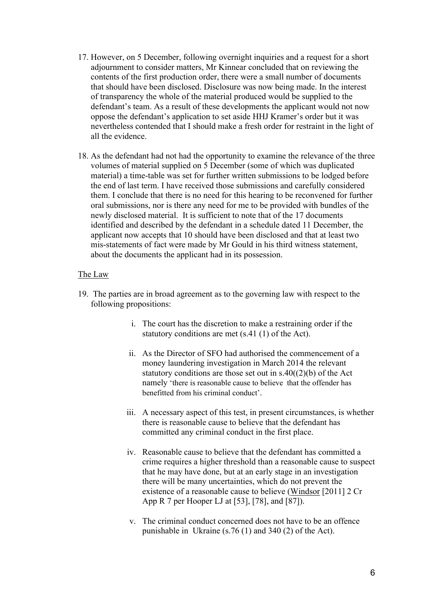- 17. However, on 5 December, following overnight inquiries and a request for a short adjournment to consider matters, Mr Kinnear concluded that on reviewing the contents of the first production order, there were a small number of documents that should have been disclosed. Disclosure was now being made. In the interest of transparency the whole of the material produced would be supplied to the defendant's team. As a result of these developments the applicant would not now oppose the defendant's application to set aside HHJ Kramer's order but it was nevertheless contended that I should make a fresh order for restraint in the light of all the evidence.
- 18. As the defendant had not had the opportunity to examine the relevance of the three volumes of material supplied on 5 December (some of which was duplicated material) a time-table was set for further written submissions to be lodged before the end of last term. I have received those submissions and carefully considered them. I conclude that there is no need for this hearing to be reconvened for further oral submissions, nor is there any need for me to be provided with bundles of the newly disclosed material. It is sufficient to note that of the 17 documents identified and described by the defendant in a schedule dated 11 December, the applicant now accepts that 10 should have been disclosed and that at least two mis-statements of fact were made by Mr Gould in his third witness statement, about the documents the applicant had in its possession.

#### The Law

- 19. The parties are in broad agreement as to the governing law with respect to the following propositions:
	- i. The court has the discretion to make a restraining order if the statutory conditions are met (s.41 (1) of the Act).
	- ii. As the Director of SFO had authorised the commencement of a money laundering investigation in March 2014 the relevant statutory conditions are those set out in  $s.40(2)(b)$  of the Act namely 'there is reasonable cause to believe that the offender has benefitted from his criminal conduct'.
	- iii. A necessary aspect of this test, in present circumstances, is whether there is reasonable cause to believe that the defendant has committed any criminal conduct in the first place.
	- iv. Reasonable cause to believe that the defendant has committed a crime requires a higher threshold than a reasonable cause to suspect that he may have done, but at an early stage in an investigation there will be many uncertainties, which do not prevent the existence of a reasonable cause to believe (Windsor [2011] 2 Cr App R 7 per Hooper LJ at [53], [78], and [87]).
	- v. The criminal conduct concerned does not have to be an offence punishable in Ukraine (s.76 (1) and 340 (2) of the Act).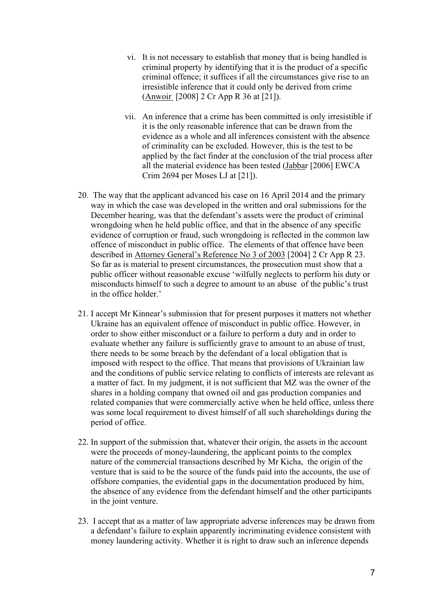- vi. It is not necessary to establish that money that is being handled is criminal property by identifying that it is the product of a specific criminal offence; it suffices if all the circumstances give rise to an irresistible inference that it could only be derived from crime (Anwoir [2008] 2 Cr App R 36 at [21]).
- vii. An inference that a crime has been committed is only irresistible if it is the only reasonable inference that can be drawn from the evidence as a whole and all inferences consistent with the absence of criminality can be excluded. However, this is the test to be applied by the fact finder at the conclusion of the trial process after all the material evidence has been tested (Jabbar [2006] EWCA Crim 2694 per Moses LJ at [21]).
- 20. The way that the applicant advanced his case on 16 April 2014 and the primary way in which the case was developed in the written and oral submissions for the December hearing, was that the defendant's assets were the product of criminal wrongdoing when he held public office, and that in the absence of any specific evidence of corruption or fraud, such wrongdoing is reflected in the common law offence of misconduct in public office. The elements of that offence have been described in Attorney General's Reference No 3 of 2003 [2004] 2 Cr App R 23. So far as is material to present circumstances, the prosecution must show that a public officer without reasonable excuse 'wilfully neglects to perform his duty or misconducts himself to such a degree to amount to an abuse of the public's trust in the office holder.'
- 21. I accept Mr Kinnear's submission that for present purposes it matters not whether Ukraine has an equivalent offence of misconduct in public office. However, in order to show either misconduct or a failure to perform a duty and in order to evaluate whether any failure is sufficiently grave to amount to an abuse of trust, there needs to be some breach by the defendant of a local obligation that is imposed with respect to the office. That means that provisions of Ukrainian law and the conditions of public service relating to conflicts of interests are relevant as a matter of fact. In my judgment, it is not sufficient that MZ was the owner of the shares in a holding company that owned oil and gas production companies and related companies that were commercially active when he held office, unless there was some local requirement to divest himself of all such shareholdings during the period of office.
- 22. In support of the submission that, whatever their origin, the assets in the account were the proceeds of money-laundering, the applicant points to the complex nature of the commercial transactions described by Mr Kicha, the origin of the venture that is said to be the source of the funds paid into the accounts, the use of offshore companies, the evidential gaps in the documentation produced by him, the absence of any evidence from the defendant himself and the other participants in the joint venture.
- 23. I accept that as a matter of law appropriate adverse inferences may be drawn from a defendant's failure to explain apparently incriminating evidence consistent with money laundering activity. Whether it is right to draw such an inference depends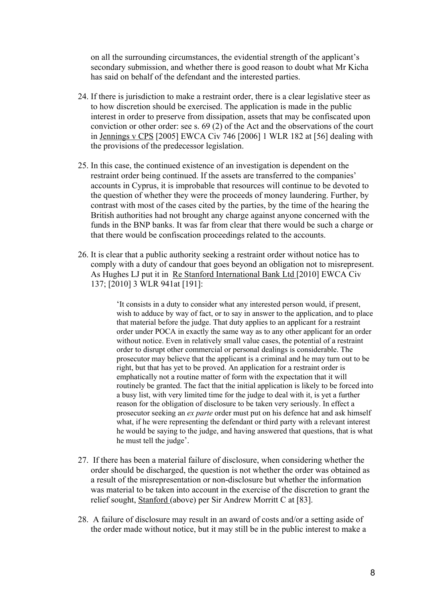on all the surrounding circumstances, the evidential strength of the applicant's secondary submission, and whether there is good reason to doubt what Mr Kicha has said on behalf of the defendant and the interested parties.

- 24. If there is jurisdiction to make a restraint order, there is a clear legislative steer as to how discretion should be exercised. The application is made in the public interest in order to preserve from dissipation, assets that may be confiscated upon conviction or other order: see s. 69 (2) of the Act and the observations of the court in Jennings v CPS [2005] EWCA Civ 746 [2006] 1 WLR 182 at [56] dealing with the provisions of the predecessor legislation.
- 25. In this case, the continued existence of an investigation is dependent on the restraint order being continued. If the assets are transferred to the companies' accounts in Cyprus, it is improbable that resources will continue to be devoted to the question of whether they were the proceeds of money laundering. Further, by contrast with most of the cases cited by the parties, by the time of the hearing the British authorities had not brought any charge against anyone concerned with the funds in the BNP banks. It was far from clear that there would be such a charge or that there would be confiscation proceedings related to the accounts.
- 26. It is clear that a public authority seeking a restraint order without notice has to comply with a duty of candour that goes beyond an obligation not to misrepresent. As Hughes LJ put it in Re Stanford International Bank Ltd [2010] EWCA Civ 137; [2010] 3 WLR 941at [191]:

'It consists in a duty to consider what any interested person would, if present, wish to adduce by way of fact, or to say in answer to the application, and to place that material before the judge. That duty applies to an applicant for a restraint order under POCA in exactly the same way as to any other applicant for an order without notice. Even in relatively small value cases, the potential of a restraint order to disrupt other commercial or personal dealings is considerable. The prosecutor may believe that the applicant is a criminal and he may turn out to be right, but that has yet to be proved. An application for a restraint order is emphatically not a routine matter of form with the expectation that it will routinely be granted. The fact that the initial application is likely to be forced into a busy list, with very limited time for the judge to deal with it, is yet a further reason for the obligation of disclosure to be taken very seriously. In effect a prosecutor seeking an *ex parte* order must put on his defence hat and ask himself what, if he were representing the defendant or third party with a relevant interest he would be saying to the judge, and having answered that questions, that is what he must tell the judge'.

- 27. If there has been a material failure of disclosure, when considering whether the order should be discharged, the question is not whether the order was obtained as a result of the misrepresentation or non-disclosure but whether the information was material to be taken into account in the exercise of the discretion to grant the relief sought, Stanford (above) per Sir Andrew Morritt C at [83].
- 28. A failure of disclosure may result in an award of costs and/or a setting aside of the order made without notice, but it may still be in the public interest to make a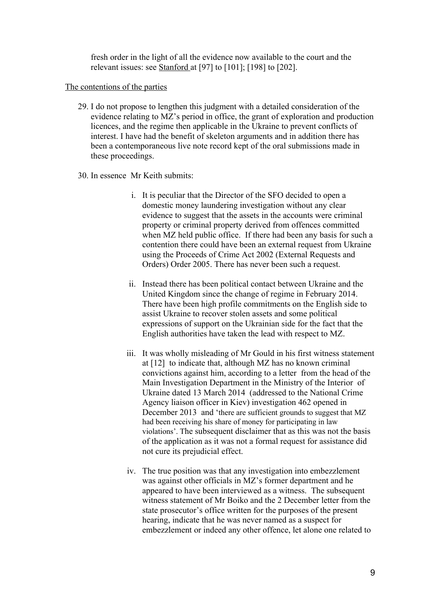fresh order in the light of all the evidence now available to the court and the relevant issues: see Stanford at [97] to [101]; [198] to [202].

#### The contentions of the parties

- 29. I do not propose to lengthen this judgment with a detailed consideration of the evidence relating to MZ's period in office, the grant of exploration and production licences, and the regime then applicable in the Ukraine to prevent conflicts of interest. I have had the benefit of skeleton arguments and in addition there has been a contemporaneous live note record kept of the oral submissions made in these proceedings.
- 30. In essence Mr Keith submits:
	- i. It is peculiar that the Director of the SFO decided to open a domestic money laundering investigation without any clear evidence to suggest that the assets in the accounts were criminal property or criminal property derived from offences committed when MZ held public office. If there had been any basis for such a contention there could have been an external request from Ukraine using the Proceeds of Crime Act 2002 (External Requests and Orders) Order 2005. There has never been such a request.
	- ii. Instead there has been political contact between Ukraine and the United Kingdom since the change of regime in February 2014. There have been high profile commitments on the English side to assist Ukraine to recover stolen assets and some political expressions of support on the Ukrainian side for the fact that the English authorities have taken the lead with respect to MZ.
	- iii. It was wholly misleading of Mr Gould in his first witness statement at [12] to indicate that, although MZ has no known criminal convictions against him, according to a letter from the head of the Main Investigation Department in the Ministry of the Interior of Ukraine dated 13 March 2014 (addressed to the National Crime Agency liaison officer in Kiev) investigation 462 opened in December 2013 and 'there are sufficient grounds to suggest that MZ had been receiving his share of money for participating in law violations'. The subsequent disclaimer that as this was not the basis of the application as it was not a formal request for assistance did not cure its prejudicial effect.
	- iv. The true position was that any investigation into embezzlement was against other officials in MZ's former department and he appeared to have been interviewed as a witness. The subsequent witness statement of Mr Boiko and the 2 December letter from the state prosecutor's office written for the purposes of the present hearing, indicate that he was never named as a suspect for embezzlement or indeed any other offence, let alone one related to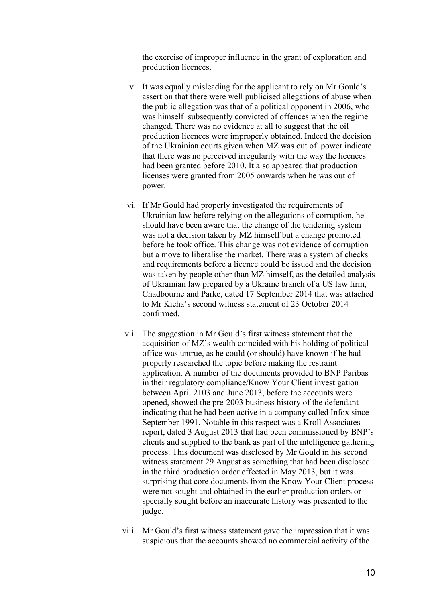the exercise of improper influence in the grant of exploration and production licences.

- v. It was equally misleading for the applicant to rely on Mr Gould's assertion that there were well publicised allegations of abuse when the public allegation was that of a political opponent in 2006, who was himself subsequently convicted of offences when the regime changed. There was no evidence at all to suggest that the oil production licences were improperly obtained. Indeed the decision of the Ukrainian courts given when MZ was out of power indicate that there was no perceived irregularity with the way the licences had been granted before 2010. It also appeared that production licenses were granted from 2005 onwards when he was out of power.
- vi. If Mr Gould had properly investigated the requirements of Ukrainian law before relying on the allegations of corruption, he should have been aware that the change of the tendering system was not a decision taken by MZ himself but a change promoted before he took office. This change was not evidence of corruption but a move to liberalise the market. There was a system of checks and requirements before a licence could be issued and the decision was taken by people other than MZ himself, as the detailed analysis of Ukrainian law prepared by a Ukraine branch of a US law firm, Chadbourne and Parke, dated 17 September 2014 that was attached to Mr Kicha's second witness statement of 23 October 2014 confirmed.
- vii. The suggestion in Mr Gould's first witness statement that the acquisition of MZ's wealth coincided with his holding of political office was untrue, as he could (or should) have known if he had properly researched the topic before making the restraint application. A number of the documents provided to BNP Paribas in their regulatory compliance/Know Your Client investigation between April 2103 and June 2013, before the accounts were opened, showed the pre-2003 business history of the defendant indicating that he had been active in a company called Infox since September 1991. Notable in this respect was a Kroll Associates report, dated 3 August 2013 that had been commissioned by BNP's clients and supplied to the bank as part of the intelligence gathering process. This document was disclosed by Mr Gould in his second witness statement 29 August as something that had been disclosed in the third production order effected in May 2013, but it was surprising that core documents from the Know Your Client process were not sought and obtained in the earlier production orders or specially sought before an inaccurate history was presented to the judge.
- viii. Mr Gould's first witness statement gave the impression that it was suspicious that the accounts showed no commercial activity of the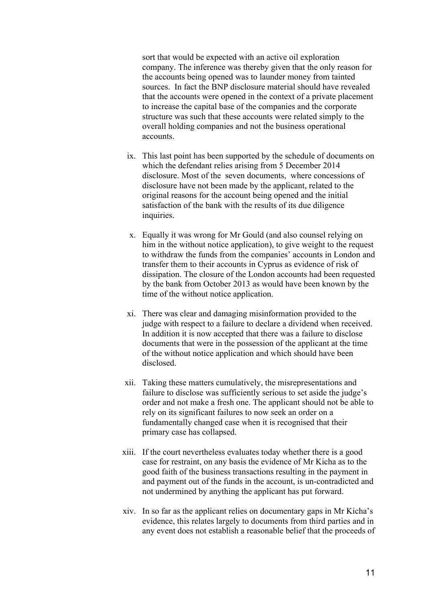sort that would be expected with an active oil exploration company. The inference was thereby given that the only reason for the accounts being opened was to launder money from tainted sources. In fact the BNP disclosure material should have revealed that the accounts were opened in the context of a private placement to increase the capital base of the companies and the corporate structure was such that these accounts were related simply to the overall holding companies and not the business operational accounts.

- ix. This last point has been supported by the schedule of documents on which the defendant relies arising from 5 December 2014 disclosure. Most of the seven documents, where concessions of disclosure have not been made by the applicant, related to the original reasons for the account being opened and the initial satisfaction of the bank with the results of its due diligence inquiries.
- x. Equally it was wrong for Mr Gould (and also counsel relying on him in the without notice application), to give weight to the request to withdraw the funds from the companies' accounts in London and transfer them to their accounts in Cyprus as evidence of risk of dissipation. The closure of the London accounts had been requested by the bank from October 2013 as would have been known by the time of the without notice application.
- xi. There was clear and damaging misinformation provided to the judge with respect to a failure to declare a dividend when received. In addition it is now accepted that there was a failure to disclose documents that were in the possession of the applicant at the time of the without notice application and which should have been disclosed.
- xii. Taking these matters cumulatively, the misrepresentations and failure to disclose was sufficiently serious to set aside the judge's order and not make a fresh one. The applicant should not be able to rely on its significant failures to now seek an order on a fundamentally changed case when it is recognised that their primary case has collapsed.
- xiii. If the court nevertheless evaluates today whether there is a good case for restraint, on any basis the evidence of Mr Kicha as to the good faith of the business transactions resulting in the payment in and payment out of the funds in the account, is un-contradicted and not undermined by anything the applicant has put forward.
- xiv. In so far as the applicant relies on documentary gaps in Mr Kicha's evidence, this relates largely to documents from third parties and in any event does not establish a reasonable belief that the proceeds of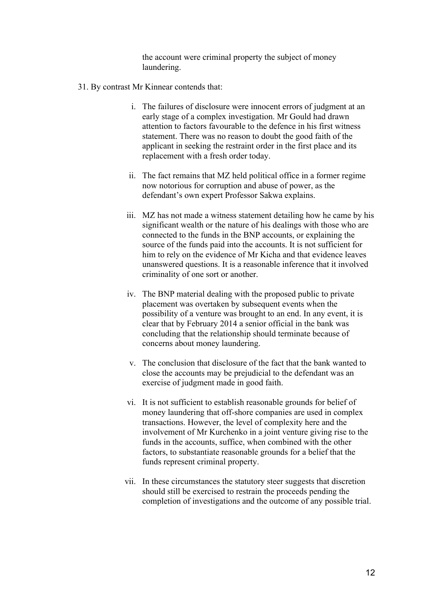the account were criminal property the subject of money laundering.

- 31. By contrast Mr Kinnear contends that:
	- i. The failures of disclosure were innocent errors of judgment at an early stage of a complex investigation. Mr Gould had drawn attention to factors favourable to the defence in his first witness statement. There was no reason to doubt the good faith of the applicant in seeking the restraint order in the first place and its replacement with a fresh order today.
	- ii. The fact remains that MZ held political office in a former regime now notorious for corruption and abuse of power, as the defendant's own expert Professor Sakwa explains.
	- iii. MZ has not made a witness statement detailing how he came by his significant wealth or the nature of his dealings with those who are connected to the funds in the BNP accounts, or explaining the source of the funds paid into the accounts. It is not sufficient for him to rely on the evidence of Mr Kicha and that evidence leaves unanswered questions. It is a reasonable inference that it involved criminality of one sort or another.
	- iv. The BNP material dealing with the proposed public to private placement was overtaken by subsequent events when the possibility of a venture was brought to an end. In any event, it is clear that by February 2014 a senior official in the bank was concluding that the relationship should terminate because of concerns about money laundering.
	- v. The conclusion that disclosure of the fact that the bank wanted to close the accounts may be prejudicial to the defendant was an exercise of judgment made in good faith.
	- vi. It is not sufficient to establish reasonable grounds for belief of money laundering that off-shore companies are used in complex transactions. However, the level of complexity here and the involvement of Mr Kurchenko in a joint venture giving rise to the funds in the accounts, suffice, when combined with the other factors, to substantiate reasonable grounds for a belief that the funds represent criminal property.
	- vii. In these circumstances the statutory steer suggests that discretion should still be exercised to restrain the proceeds pending the completion of investigations and the outcome of any possible trial.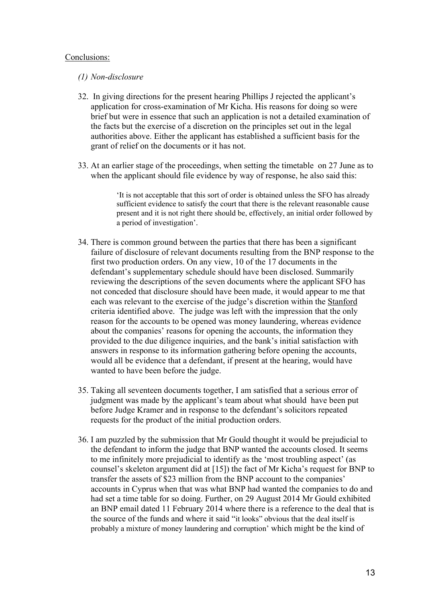#### Conclusions:

#### *(1) Non-disclosure*

- 32. In giving directions for the present hearing Phillips J rejected the applicant's application for cross-examination of Mr Kicha. His reasons for doing so were brief but were in essence that such an application is not a detailed examination of the facts but the exercise of a discretion on the principles set out in the legal authorities above. Either the applicant has established a sufficient basis for the grant of relief on the documents or it has not.
- 33. At an earlier stage of the proceedings, when setting the timetable on 27 June as to when the applicant should file evidence by way of response, he also said this:

'It is not acceptable that this sort of order is obtained unless the SFO has already sufficient evidence to satisfy the court that there is the relevant reasonable cause present and it is not right there should be, effectively, an initial order followed by a period of investigation'.

- 34. There is common ground between the parties that there has been a significant failure of disclosure of relevant documents resulting from the BNP response to the first two production orders. On any view, 10 of the 17 documents in the defendant's supplementary schedule should have been disclosed. Summarily reviewing the descriptions of the seven documents where the applicant SFO has not conceded that disclosure should have been made, it would appear to me that each was relevant to the exercise of the judge's discretion within the Stanford criteria identified above. The judge was left with the impression that the only reason for the accounts to be opened was money laundering, whereas evidence about the companies' reasons for opening the accounts, the information they provided to the due diligence inquiries, and the bank's initial satisfaction with answers in response to its information gathering before opening the accounts, would all be evidence that a defendant, if present at the hearing, would have wanted to have been before the judge.
- 35. Taking all seventeen documents together, I am satisfied that a serious error of judgment was made by the applicant's team about what should have been put before Judge Kramer and in response to the defendant's solicitors repeated requests for the product of the initial production orders.
- 36. I am puzzled by the submission that Mr Gould thought it would be prejudicial to the defendant to inform the judge that BNP wanted the accounts closed. It seems to me infinitely more prejudicial to identify as the 'most troubling aspect' (as counsel's skeleton argument did at [15]) the fact of Mr Kicha's request for BNP to transfer the assets of \$23 million from the BNP account to the companies' accounts in Cyprus when that was what BNP had wanted the companies to do and had set a time table for so doing. Further, on 29 August 2014 Mr Gould exhibited an BNP email dated 11 February 2014 where there is a reference to the deal that is the source of the funds and where it said "it looks" obvious that the deal itself is probably a mixture of money laundering and corruption' which might be the kind of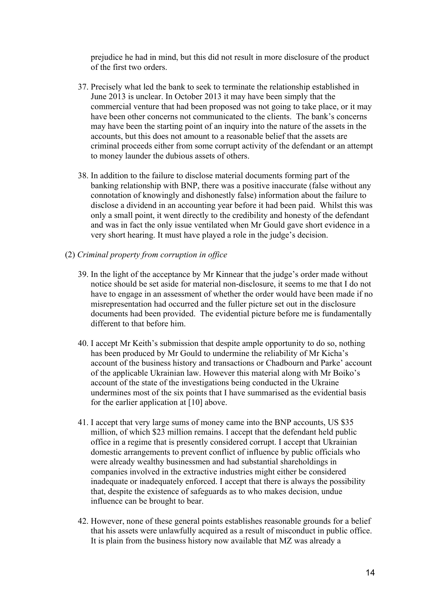prejudice he had in mind, but this did not result in more disclosure of the product of the first two orders.

- 37. Precisely what led the bank to seek to terminate the relationship established in June 2013 is unclear. In October 2013 it may have been simply that the commercial venture that had been proposed was not going to take place, or it may have been other concerns not communicated to the clients. The bank's concerns may have been the starting point of an inquiry into the nature of the assets in the accounts, but this does not amount to a reasonable belief that the assets are criminal proceeds either from some corrupt activity of the defendant or an attempt to money launder the dubious assets of others.
- 38. In addition to the failure to disclose material documents forming part of the banking relationship with BNP, there was a positive inaccurate (false without any connotation of knowingly and dishonestly false) information about the failure to disclose a dividend in an accounting year before it had been paid. Whilst this was only a small point, it went directly to the credibility and honesty of the defendant and was in fact the only issue ventilated when Mr Gould gave short evidence in a very short hearing. It must have played a role in the judge's decision.
- (2) *Criminal property from corruption in office*
	- 39. In the light of the acceptance by Mr Kinnear that the judge's order made without notice should be set aside for material non-disclosure, it seems to me that I do not have to engage in an assessment of whether the order would have been made if no misrepresentation had occurred and the fuller picture set out in the disclosure documents had been provided. The evidential picture before me is fundamentally different to that before him.
	- 40. I accept Mr Keith's submission that despite ample opportunity to do so, nothing has been produced by Mr Gould to undermine the reliability of Mr Kicha's account of the business history and transactions or Chadbourn and Parke' account of the applicable Ukrainian law. However this material along with Mr Boiko's account of the state of the investigations being conducted in the Ukraine undermines most of the six points that I have summarised as the evidential basis for the earlier application at [10] above.
	- 41. I accept that very large sums of money came into the BNP accounts, US \$35 million, of which \$23 million remains. I accept that the defendant held public office in a regime that is presently considered corrupt. I accept that Ukrainian domestic arrangements to prevent conflict of influence by public officials who were already wealthy businessmen and had substantial shareholdings in companies involved in the extractive industries might either be considered inadequate or inadequately enforced. I accept that there is always the possibility that, despite the existence of safeguards as to who makes decision, undue influence can be brought to bear.
	- 42. However, none of these general points establishes reasonable grounds for a belief that his assets were unlawfully acquired as a result of misconduct in public office. It is plain from the business history now available that MZ was already a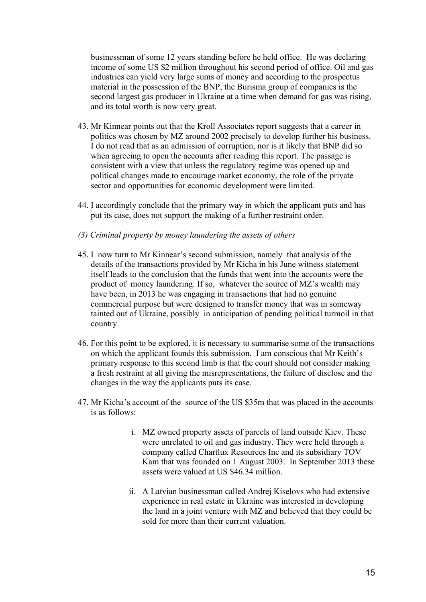businessman of some 12 years standing before he held office. He was declaring income of some US \$2 million throughout his second period of office. Oil and gas industries can yield very large sums of money and according to the prospectus material in the possession of the BNP, the Burisma group of companies is the second largest gas producer in Ukraine at a time when demand for gas was rising, and its total worth is now very great.

- 43. Mr Kinnear points out that the Kroll Associates report suggests that a career in politics was chosen by MZ around 2002 precisely to develop further his business. I do not read that as an admission of corruption, nor is it likely that BNP did so when agreeing to open the accounts after reading this report. The passage is consistent with a view that unless the regulatory regime was opened up and political changes made to encourage market economy, the role of the private sector and opportunities for economic development were limited.
- 44. I accordingly conclude that the primary way in which the applicant puts and has put its case, does not support the making of a further restraint order.
- *(3) Criminal property by money laundering the assets of others*
- 45. I now turn to Mr Kinnear's second submission, namely that analysis of the details of the transactions provided by Mr Kicha in his June witness statement itself leads to the conclusion that the funds that went into the accounts were the product of money laundering. If so, whatever the source of MZ's wealth may have been, in 2013 he was engaging in transactions that had no genuine commercial purpose but were designed to transfer money that was in someway tainted out of Ukraine, possibly in anticipation of pending political turmoil in that country.
- 46. For this point to be explored, it is necessary to summarise some of the transactions on which the applicant founds this submission. I am conscious that Mr Keith's primary response to this second limb is that the court should not consider making a fresh restraint at all giving the misrepresentations, the failure of disclose and the changes in the way the applicants puts its case.
- 47. Mr Kicha's account of the source of the US \$35m that was placed in the accounts is as follows:
	- i. MZ owned property assets of parcels of land outside Kiev. These were unrelated to oil and gas industry. They were held through a company called Chartlux Resources Inc and its subsidiary TOV Kam that was founded on 1 August 2003. In September 2013 these assets were valued at US \$46.34 million.
	- ii. A Latvian businessman called Andrej Kiselovs who had extensive experience in real estate in Ukraine was interested in developing the land in a joint venture with MZ and believed that they could be sold for more than their current valuation.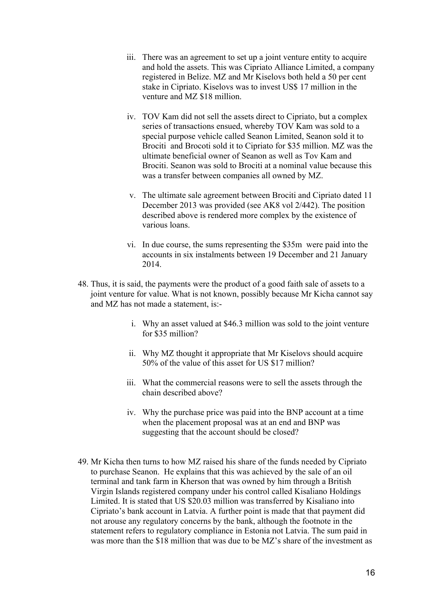- iii. There was an agreement to set up a joint venture entity to acquire and hold the assets. This was Cipriato Alliance Limited, a company registered in Belize. MZ and Mr Kiselovs both held a 50 per cent stake in Cipriato. Kiselovs was to invest US\$ 17 million in the venture and MZ \$18 million.
- iv. TOV Kam did not sell the assets direct to Cipriato, but a complex series of transactions ensued, whereby TOV Kam was sold to a special purpose vehicle called Seanon Limited, Seanon sold it to Brociti and Brocoti sold it to Cipriato for \$35 million. MZ was the ultimate beneficial owner of Seanon as well as Tov Kam and Brociti. Seanon was sold to Brociti at a nominal value because this was a transfer between companies all owned by MZ.
- v. The ultimate sale agreement between Brociti and Cipriato dated 11 December 2013 was provided (see AK8 vol 2/442). The position described above is rendered more complex by the existence of various loans.
- vi. In due course, the sums representing the \$35m were paid into the accounts in six instalments between 19 December and 21 January 2014.
- 48. Thus, it is said, the payments were the product of a good faith sale of assets to a joint venture for value. What is not known, possibly because Mr Kicha cannot say and MZ has not made a statement, is:
	- i. Why an asset valued at \$46.3 million was sold to the joint venture for \$35 million?
	- ii. Why MZ thought it appropriate that Mr Kiselovs should acquire 50% of the value of this asset for US \$17 million?
	- iii. What the commercial reasons were to sell the assets through the chain described above?
	- iv. Why the purchase price was paid into the BNP account at a time when the placement proposal was at an end and BNP was suggesting that the account should be closed?
- 49. Mr Kicha then turns to how MZ raised his share of the funds needed by Cipriato to purchase Seanon. He explains that this was achieved by the sale of an oil terminal and tank farm in Kherson that was owned by him through a British Virgin Islands registered company under his control called Kisaliano Holdings Limited. It is stated that US \$20.03 million was transferred by Kisaliano into Cipriato's bank account in Latvia. A further point is made that that payment did not arouse any regulatory concerns by the bank, although the footnote in the statement refers to regulatory compliance in Estonia not Latvia. The sum paid in was more than the \$18 million that was due to be MZ's share of the investment as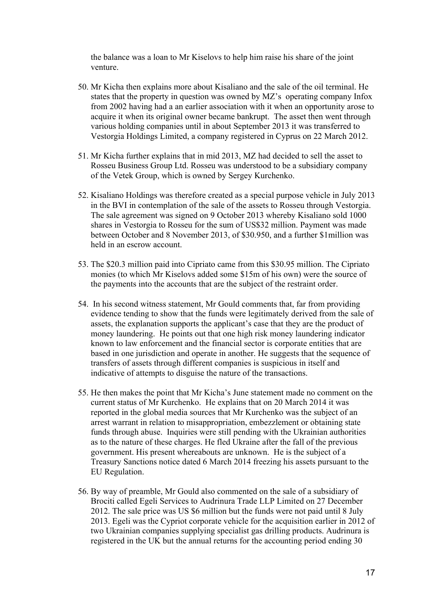the balance was a loan to Mr Kiselovs to help him raise his share of the joint venture.

- 50. Mr Kicha then explains more about Kisaliano and the sale of the oil terminal. He states that the property in question was owned by MZ's operating company Infox from 2002 having had a an earlier association with it when an opportunity arose to acquire it when its original owner became bankrupt. The asset then went through various holding companies until in about September 2013 it was transferred to Vestorgia Holdings Limited, a company registered in Cyprus on 22 March 2012.
- 51. Mr Kicha further explains that in mid 2013, MZ had decided to sell the asset to Rosseu Business Group Ltd. Rosseu was understood to be a subsidiary company of the Vetek Group, which is owned by Sergey Kurchenko.
- 52. Kisaliano Holdings was therefore created as a special purpose vehicle in July 2013 in the BVI in contemplation of the sale of the assets to Rosseu through Vestorgia. The sale agreement was signed on 9 October 2013 whereby Kisaliano sold 1000 shares in Vestorgia to Rosseu for the sum of US\$32 million. Payment was made between October and 8 November 2013, of \$30.950, and a further \$1million was held in an escrow account.
- 53. The \$20.3 million paid into Cipriato came from this \$30.95 million. The Cipriato monies (to which Mr Kiselovs added some \$15m of his own) were the source of the payments into the accounts that are the subject of the restraint order.
- 54. In his second witness statement, Mr Gould comments that, far from providing evidence tending to show that the funds were legitimately derived from the sale of assets, the explanation supports the applicant's case that they are the product of money laundering. He points out that one high risk money laundering indicator known to law enforcement and the financial sector is corporate entities that are based in one jurisdiction and operate in another. He suggests that the sequence of transfers of assets through different companies is suspicious in itself and indicative of attempts to disguise the nature of the transactions.
- 55. He then makes the point that Mr Kicha's June statement made no comment on the current status of Mr Kurchenko. He explains that on 20 March 2014 it was reported in the global media sources that Mr Kurchenko was the subject of an arrest warrant in relation to misappropriation, embezzlement or obtaining state funds through abuse. Inquiries were still pending with the Ukrainian authorities as to the nature of these charges. He fled Ukraine after the fall of the previous government. His present whereabouts are unknown. He is the subject of a Treasury Sanctions notice dated 6 March 2014 freezing his assets pursuant to the EU Regulation.
- 56. By way of preamble, Mr Gould also commented on the sale of a subsidiary of Brociti called Egeli Services to Audrinura Trade LLP Limited on 27 December 2012. The sale price was US \$6 million but the funds were not paid until 8 July 2013. Egeli was the Cypriot corporate vehicle for the acquisition earlier in 2012 of two Ukrainian companies supplying specialist gas drilling products. Audrinura is registered in the UK but the annual returns for the accounting period ending 30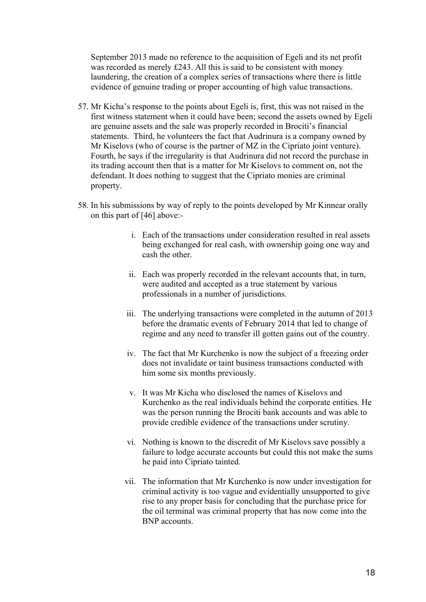September 2013 made no reference to the acquisition of Egeli and its net profit was recorded as merely £243. All this is said to be consistent with money laundering, the creation of a complex series of transactions where there is little evidence of genuine trading or proper accounting of high value transactions.

- 57. Mr Kicha's response to the points about Egeli is, first, this was not raised in the first witness statement when it could have been; second the assets owned by Egeli are genuine assets and the sale was properly recorded in Brociti's financial statements. Third, he volunteers the fact that Audrinura is a company owned by Mr Kiselovs (who of course is the partner of MZ in the Cipriato joint venture). Fourth, he says if the irregularity is that Audrinura did not record the purchase in its trading account then that is a matter for Mr Kiselovs to comment on, not the defendant. It does nothing to suggest that the Cipriato monies are criminal property.
- 58. In his submissions by way of reply to the points developed by Mr Kinnear orally on this part of [46] above:
	- i. Each of the transactions under consideration resulted in real assets being exchanged for real cash, with ownership going one way and cash the other.
	- ii. Each was properly recorded in the relevant accounts that, in turn, were audited and accepted as a true statement by various professionals in a number of jurisdictions.
	- iii. The underlying transactions were completed in the autumn of 2013 before the dramatic events of February 2014 that led to change of regime and any need to transfer ill gotten gains out of the country.
	- iv. The fact that Mr Kurchenko is now the subject of a freezing order does not invalidate or taint business transactions conducted with him some six months previously.
	- v. It was Mr Kicha who disclosed the names of Kiselovs and Kurchenko as the real individuals behind the corporate entities. He was the person running the Brociti bank accounts and was able to provide credible evidence of the transactions under scrutiny.
	- vi. Nothing is known to the discredit of Mr Kiselovs save possibly a failure to lodge accurate accounts but could this not make the sums he paid into Cipriato tainted.
	- vii. The information that Mr Kurchenko is now under investigation for criminal activity is too vague and evidentially unsupported to give rise to any proper basis for concluding that the purchase price for the oil terminal was criminal property that has now come into the BNP accounts.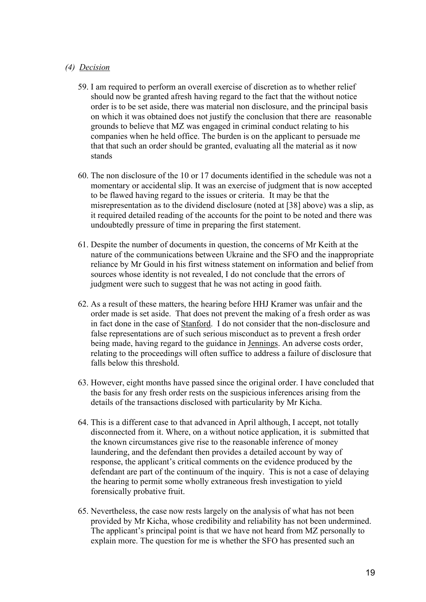## *(4) Decision*

- 59. I am required to perform an overall exercise of discretion as to whether relief should now be granted afresh having regard to the fact that the without notice order is to be set aside, there was material non disclosure, and the principal basis on which it was obtained does not justify the conclusion that there are reasonable grounds to believe that MZ was engaged in criminal conduct relating to his companies when he held office. The burden is on the applicant to persuade me that that such an order should be granted, evaluating all the material as it now stands
- 60. The non disclosure of the 10 or 17 documents identified in the schedule was not a momentary or accidental slip. It was an exercise of judgment that is now accepted to be flawed having regard to the issues or criteria. It may be that the misrepresentation as to the dividend disclosure (noted at [38] above) was a slip, as it required detailed reading of the accounts for the point to be noted and there was undoubtedly pressure of time in preparing the first statement.
- 61. Despite the number of documents in question, the concerns of Mr Keith at the nature of the communications between Ukraine and the SFO and the inappropriate reliance by Mr Gould in his first witness statement on information and belief from sources whose identity is not revealed, I do not conclude that the errors of judgment were such to suggest that he was not acting in good faith.
- 62. As a result of these matters, the hearing before HHJ Kramer was unfair and the order made is set aside. That does not prevent the making of a fresh order as was in fact done in the case of Stanford. I do not consider that the non-disclosure and false representations are of such serious misconduct as to prevent a fresh order being made, having regard to the guidance in Jennings. An adverse costs order, relating to the proceedings will often suffice to address a failure of disclosure that falls below this threshold.
- 63. However, eight months have passed since the original order. I have concluded that the basis for any fresh order rests on the suspicious inferences arising from the details of the transactions disclosed with particularity by Mr Kicha.
- 64. This is a different case to that advanced in April although, I accept, not totally disconnected from it. Where, on a without notice application, it is submitted that the known circumstances give rise to the reasonable inference of money laundering, and the defendant then provides a detailed account by way of response, the applicant's critical comments on the evidence produced by the defendant are part of the continuum of the inquiry. This is not a case of delaying the hearing to permit some wholly extraneous fresh investigation to yield forensically probative fruit.
- 65. Nevertheless, the case now rests largely on the analysis of what has not been provided by Mr Kicha, whose credibility and reliability has not been undermined. The applicant's principal point is that we have not heard from MZ personally to explain more. The question for me is whether the SFO has presented such an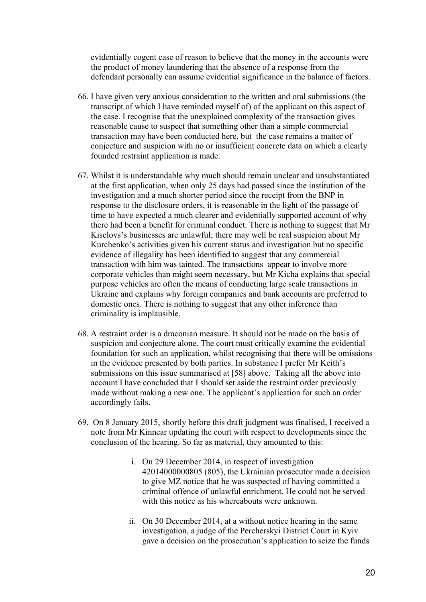evidentially cogent case of reason to believe that the money in the accounts were the product of money laundering that the absence of a response from the defendant personally can assume evidential significance in the balance of factors.

- 66. I have given very anxious consideration to the written and oral submissions (the transcript of which I have reminded myself of) of the applicant on this aspect of the case. I recognise that the unexplained complexity of the transaction gives reasonable cause to suspect that something other than a simple commercial transaction may have been conducted here, but the case remains a matter of conjecture and suspicion with no or insufficient concrete data on which a clearly founded restraint application is made.
- 67. Whilst it is understandable why much should remain unclear and unsubstantiated at the first application, when only 25 days had passed since the institution of the investigation and a much shorter period since the receipt from the BNP in response to the disclosure orders, it is reasonable in the light of the passage of time to have expected a much clearer and evidentially supported account of why there had been a benefit for criminal conduct. There is nothing to suggest that Mr Kiselovs's businesses are unlawful; there may well be real suspicion about Mr Kurchenko's activities given his current status and investigation but no specific evidence of illegality has been identified to suggest that any commercial transaction with him was tainted. The transactions appear to involve more corporate vehicles than might seem necessary, but Mr Kicha explains that special purpose vehicles are often the means of conducting large scale transactions in Ukraine and explains why foreign companies and bank accounts are preferred to domestic ones. There is nothing to suggest that any other inference than criminality is implausible.
- 68. A restraint order is a draconian measure. It should not be made on the basis of suspicion and conjecture alone. The court must critically examine the evidential foundation for such an application, whilst recognising that there will be omissions in the evidence presented by both parties. In substance I prefer Mr Keith's submissions on this issue summarised at [58] above. Taking all the above into account I have concluded that I should set aside the restraint order previously made without making a new one. The applicant's application for such an order accordingly fails.
- 69. On 8 January 2015, shortly before this draft judgment was finalised, I received a note from Mr Kinnear updating the court with respect to developments since the conclusion of the hearing. So far as material, they amounted to this:
	- i. On 29 December 2014, in respect of investigation 42014000000805 (805), the Ukrainian prosecutor made a decision to give MZ notice that he was suspected of having committed a criminal offence of unlawful enrichment. He could not be served with this notice as his whereabouts were unknown.
	- ii. On 30 December 2014, at a without notice hearing in the same investigation, a judge of the Percherskyi District Court in Kyiv gave a decision on the prosecution's application to seize the funds